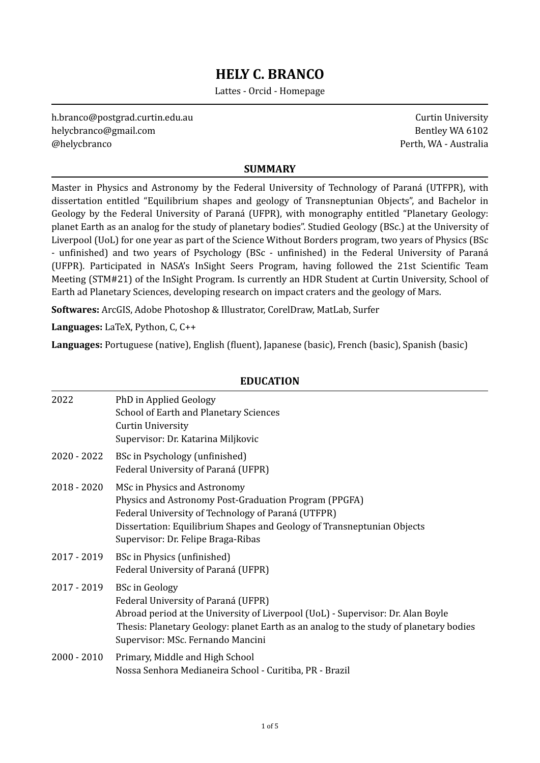# **HELY C. BRANCO**

Lattes - Orcid - Homepage

h.branco@postgrad.curtin.edu.au [helycbranco@gmail.com](mailto:helycbranco@gmail.com)  @helycbranco 

Curtin University Bentley WA 6102 Perth, WA - Australia

#### **SUMMARY**

Master in Physics and Astronomy by the Federal University of Technology of Paraná (UTFPR), with dissertation entitled "Equilibrium shapes and geology of Transneptunian Objects", and Bachelor in Geology by the Federal University of Paraná (UFPR), with monography entitled "Planetary Geology: planet Earth as an analog for the study of planetary bodies". Studied Geology (BSc.) at the University of Liverpool (UoL) for one year as part of the Science Without Borders program, two years of Physics (BSc) - unfinished) and two years of Psychology (BSc - unfinished) in the Federal University of Paraná (UFPR). Participated in NASA's InSight Seers Program, having followed the 21st Scientific Team Meeting (STM#21) of the InSight Program. Is currently an HDR Student at Curtin University, School of Earth ad Planetary Sciences, developing research on impact craters and the geology of Mars.

**Softwares:** ArcGIS, Adobe Photoshop & Illustrator, CorelDraw, MatLab, Surfer

Languages: LaTeX, Python, C, C++

**Languages:** Portuguese (native), English (fluent), Japanese (basic), French (basic), Spanish (basic)

#### **EDUCATION**

| 2022          | PhD in Applied Geology<br><b>School of Earth and Planetary Sciences</b><br><b>Curtin University</b><br>Supervisor: Dr. Katarina Miljkovic                                                                                                                                     |
|---------------|-------------------------------------------------------------------------------------------------------------------------------------------------------------------------------------------------------------------------------------------------------------------------------|
| 2020 - 2022   | BSc in Psychology (unfinished)<br>Federal University of Paraná (UFPR)                                                                                                                                                                                                         |
| $2018 - 2020$ | MSc in Physics and Astronomy<br>Physics and Astronomy Post-Graduation Program (PPGFA)<br>Federal University of Technology of Paraná (UTFPR)<br>Dissertation: Equilibrium Shapes and Geology of Transneptunian Objects<br>Supervisor: Dr. Felipe Braga-Ribas                   |
| 2017 - 2019   | BSc in Physics (unfinished)<br>Federal University of Paraná (UFPR)                                                                                                                                                                                                            |
| 2017 - 2019   | <b>BSc in Geology</b><br>Federal University of Paraná (UFPR)<br>Abroad period at the University of Liverpool (UoL) - Supervisor: Dr. Alan Boyle<br>Thesis: Planetary Geology: planet Earth as an analog to the study of planetary bodies<br>Supervisor: MSc. Fernando Mancini |
| $2000 - 2010$ | Primary, Middle and High School<br>Nossa Senhora Medianeira School - Curitiba, PR - Brazil                                                                                                                                                                                    |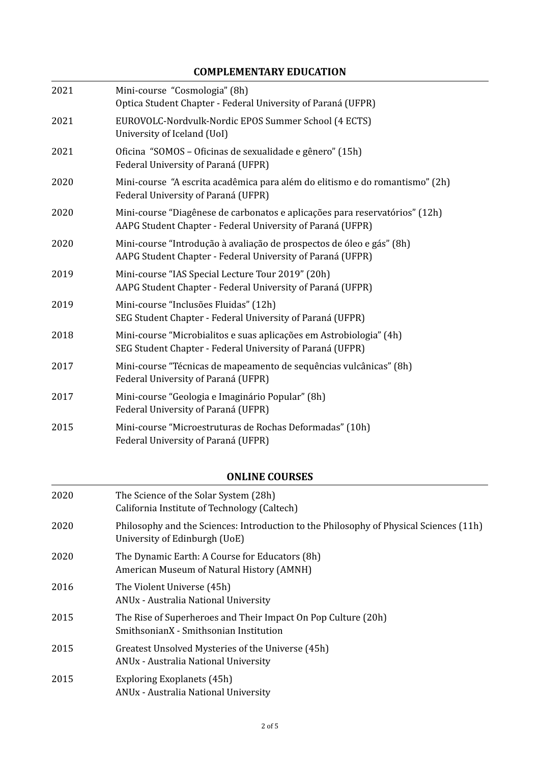## **COMPLEMENTARY EDUCATION**

| 2021 | Mini-course "Cosmologia" (8h)<br>Optica Student Chapter - Federal University of Paraná (UFPR)                                             |
|------|-------------------------------------------------------------------------------------------------------------------------------------------|
| 2021 | EUROVOLC-Nordvulk-Nordic EPOS Summer School (4 ECTS)<br>University of Iceland (UoI)                                                       |
| 2021 | Oficina "SOMOS - Oficinas de sexualidade e gênero" (15h)<br>Federal University of Paraná (UFPR)                                           |
| 2020 | Mini-course "A escrita acadêmica para além do elitismo e do romantismo" (2h)<br>Federal University of Paraná (UFPR)                       |
| 2020 | Mini-course "Diagênese de carbonatos e aplicações para reservatórios" (12h)<br>AAPG Student Chapter - Federal University of Paraná (UFPR) |
| 2020 | Mini-course "Introdução à avaliação de prospectos de óleo e gás" (8h)<br>AAPG Student Chapter - Federal University of Paraná (UFPR)       |
| 2019 | Mini-course "IAS Special Lecture Tour 2019" (20h)<br>AAPG Student Chapter - Federal University of Paraná (UFPR)                           |
| 2019 | Mini-course "Inclusões Fluidas" (12h)<br>SEG Student Chapter - Federal University of Paraná (UFPR)                                        |
| 2018 | Mini-course "Microbialitos e suas aplicações em Astrobiologia" (4h)<br>SEG Student Chapter - Federal University of Paraná (UFPR)          |
| 2017 | Mini-course "Técnicas de mapeamento de sequências vulcânicas" (8h)<br>Federal University of Paraná (UFPR)                                 |
| 2017 | Mini-course "Geologia e Imaginário Popular" (8h)<br>Federal University of Paraná (UFPR)                                                   |
| 2015 | Mini-course "Microestruturas de Rochas Deformadas" (10h)<br>Federal University of Paraná (UFPR)                                           |

## **ONLINE COURSES**

| 2020 | The Science of the Solar System (28h)<br>California Institute of Technology (Caltech)                                   |
|------|-------------------------------------------------------------------------------------------------------------------------|
| 2020 | Philosophy and the Sciences: Introduction to the Philosophy of Physical Sciences (11h)<br>University of Edinburgh (UoE) |
| 2020 | The Dynamic Earth: A Course for Educators (8h)<br>American Museum of Natural History (AMNH)                             |
| 2016 | The Violent Universe (45h)<br><b>ANUx - Australia National University</b>                                               |
| 2015 | The Rise of Superheroes and Their Impact On Pop Culture (20h)<br>SmithsonianX - Smithsonian Institution                 |
| 2015 | Greatest Unsolved Mysteries of the Universe (45h)<br><b>ANU<sub>x</sub></b> - Australia National University             |
| 2015 | Exploring Exoplanets (45h)<br><b>ANU<sub>x</sub></b> - Australia National University                                    |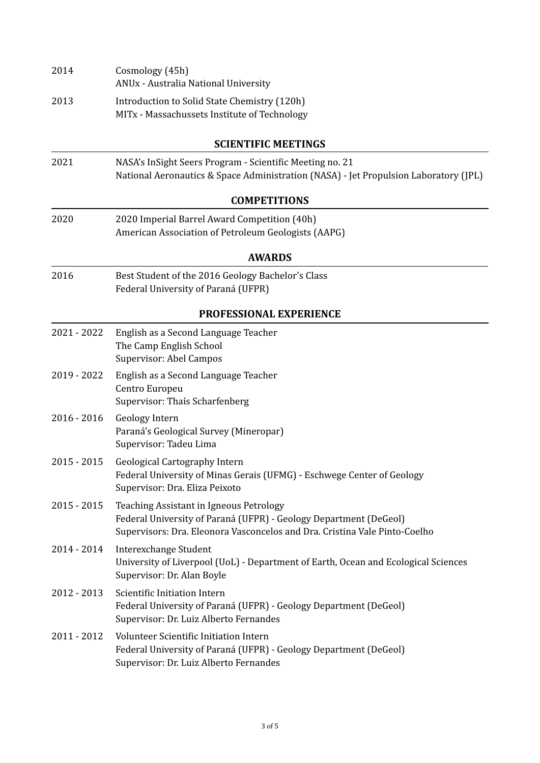| 2014          | Cosmology (45h)<br>ANUx - Australia National University                                                                                                                                    |
|---------------|--------------------------------------------------------------------------------------------------------------------------------------------------------------------------------------------|
| 2013          | Introduction to Solid State Chemistry (120h)<br>MITx - Massachussets Institute of Technology                                                                                               |
|               | <b>SCIENTIFIC MEETINGS</b>                                                                                                                                                                 |
| 2021          | NASA's InSight Seers Program - Scientific Meeting no. 21<br>National Aeronautics & Space Administration (NASA) - Jet Propulsion Laboratory (JPL)                                           |
|               | <b>COMPETITIONS</b>                                                                                                                                                                        |
| 2020          | 2020 Imperial Barrel Award Competition (40h)<br>American Association of Petroleum Geologists (AAPG)                                                                                        |
|               | <b>AWARDS</b>                                                                                                                                                                              |
| 2016          | Best Student of the 2016 Geology Bachelor's Class<br>Federal University of Paraná (UFPR)                                                                                                   |
|               | PROFESSIONAL EXPERIENCE                                                                                                                                                                    |
| 2021 - 2022   | English as a Second Language Teacher<br>The Camp English School<br>Supervisor: Abel Campos                                                                                                 |
| 2019 - 2022   | English as a Second Language Teacher<br>Centro Europeu<br>Supervisor: Thaís Scharfenberg                                                                                                   |
| 2016 - 2016   | Geology Intern<br>Paraná's Geological Survey (Mineropar)<br>Supervisor: Tadeu Lima                                                                                                         |
| 2015 - 2015   | Geological Cartography Intern<br>Federal University of Minas Gerais (UFMG) - Eschwege Center of Geology<br>Supervisor: Dra. Eliza Peixoto                                                  |
| $2015 - 2015$ | Teaching Assistant in Igneous Petrology<br>Federal University of Paraná (UFPR) - Geology Department (DeGeol)<br>Supervisors: Dra. Eleonora Vasconcelos and Dra. Cristina Vale Pinto-Coelho |
| 2014 - 2014   | Interexchange Student<br>University of Liverpool (UoL) - Department of Earth, Ocean and Ecological Sciences<br>Supervisor: Dr. Alan Boyle                                                  |
| 2012 - 2013   | Scientific Initiation Intern<br>Federal University of Paraná (UFPR) - Geology Department (DeGeol)<br>Supervisor: Dr. Luiz Alberto Fernandes                                                |
| 2011 - 2012   | Volunteer Scientific Initiation Intern<br>Federal University of Paraná (UFPR) - Geology Department (DeGeol)<br>Supervisor: Dr. Luiz Alberto Fernandes                                      |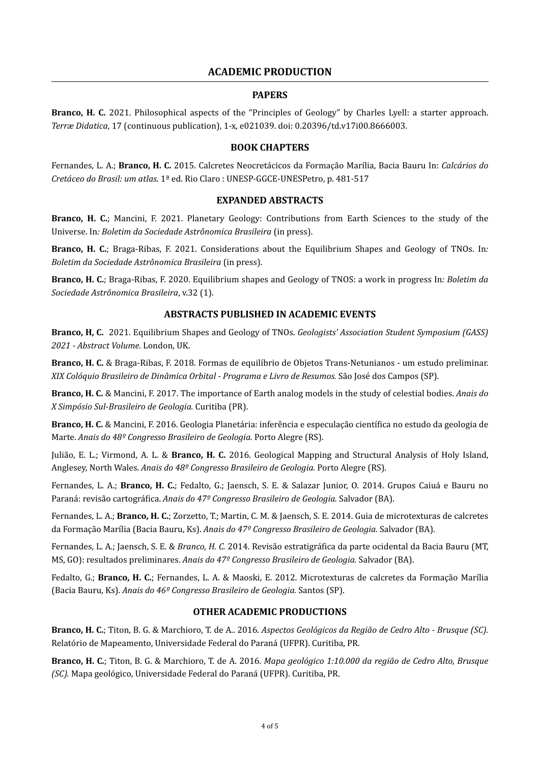## **ACADEMIC PRODUCTION**

#### **PAPERS**

Branco, H. C. 2021. Philosophical aspects of the "Principles of Geology" by Charles Lyell: a starter approach. *Terræ Didatica*, 17 (continuous publication), 1-x, e021039. doi: 0.20396/td.v17i00.8666003.

#### **BOOK CHAPTERS**

Fernandes, L. A.; **Branco, H. C.** 2015. Calcretes Neocretácicos da Formação Marília, Bacia Bauru In: *Calcários do Cretáceo do Brasil: um atlas.* 1ª ed. Rio Claro : UNESP-GGCE-UNESPetro, p. 481-517

#### **EXPANDED ABSTRACTS**

**Branco, H. C.**; Mancini, F. 2021. Planetary Geology: Contributions from Earth Sciences to the study of the Universe. In: *Boletim da Sociedade Astrônomica Brasileira* (in press).

**Branco, H. C.**; Braga-Ribas, F. 2021. Considerations about the Equilibrium Shapes and Geology of TNOs. In: *Boletim da Sociedade Astrônomica Brasileira* (in press). 

**Branco, H. C.**; Braga-Ribas, F. 2020. Equilibrium shapes and Geology of TNOS: a work in progress In: *Boletim da Sociedade Astrônomica Brasileira*, v.32 (1). 

#### **ABSTRACTS PUBLISHED IN ACADEMIC EVENTS**

**Branco, H, C.** 2021. Equilibrium Shapes and Geology of TNOs. *Geologists' Association Student Symposium (GASS)* 2021 - Abstract Volume. London, UK.

**Branco, H. C.** & Braga-Ribas, F. 2018. Formas de equilíbrio de Objetos Trans-Netunianos - um estudo preliminar. *XIX* Colóquio Brasileiro de Dinâmica Orbital - Programa e Livro de Resumos. São José dos Campos (SP).

**Branco, H. C.** & Mancini, F. 2017. The importance of Earth analog models in the study of celestial bodies. Anais do *X Simpósio Sul-Brasileiro de Geologia.* Curitiba (PR). 

**Branco, H. C.** & Mancini, F. 2016. Geologia Planetária: inferência e especulação científica no estudo da geologia de Marte. Anais do 48º Congresso Brasileiro de Geologia. Porto Alegre (RS).

Julião, E. L.; Virmond, A. L. & **Branco, H. C.** 2016. Geological Mapping and Structural Analysis of Holy Island, Anglesey, North Wales. *Anais do 48<sup>o</sup> Congresso Brasileiro de Geologia*. Porto Alegre (RS).

Fernandes, L. A.; **Branco, H. C.**; Fedalto, G.; Jaensch, S. E. & Salazar Junior, O. 2014. Grupos Caiuá e Bauru no Paraná: revisão cartográfica. Anais do 47<sup>º</sup> Congresso Brasileiro de Geologia. Salvador (BA).

Fernandes, L. A.; **Branco, H. C.**; Zorzetto, T.; Martin, C. M. & Jaensch, S. E. 2014. Guia de microtexturas de calcretes da Formação Marília (Bacia Bauru, Ks). Anais do 47º Congresso Brasileiro de Geologia. Salvador (BA).

Fernandes, L. A.; Jaensch, S. E. & *Branco, H. C.* 2014. Revisão estratigráfica da parte ocidental da Bacia Bauru (MT, MS, GO): resultados preliminares. Anais do 47<sup>o</sup> Congresso Brasileiro de Geologia. Salvador (BA).

Fedalto, G.; Branco, H. C.; Fernandes, L. A. & Maoski, E. 2012. Microtexturas de calcretes da Formação Marília (Bacia Bauru, Ks). *Anais do 46º Congresso Brasileiro de Geologia.* Santos (SP). 

#### **OTHER ACADEMIC PRODUCTIONS**

**Branco, H. C.**; Titon, B. G. & Marchioro, T. de A.. 2016. *Aspectos Geológicos da Região de Cedro Alto - Brusque* (SC). Relatório de Mapeamento, Universidade Federal do Paraná (UFPR). Curitiba, PR.

**Branco, H. C.**; Titon, B. G. & Marchioro, T. de A. 2016. *Mapa geológico 1:10.000 da região de Cedro Alto, Brusque (SC).* Mapa geológico, Universidade Federal do Paraná (UFPR). Curitiba, PR.